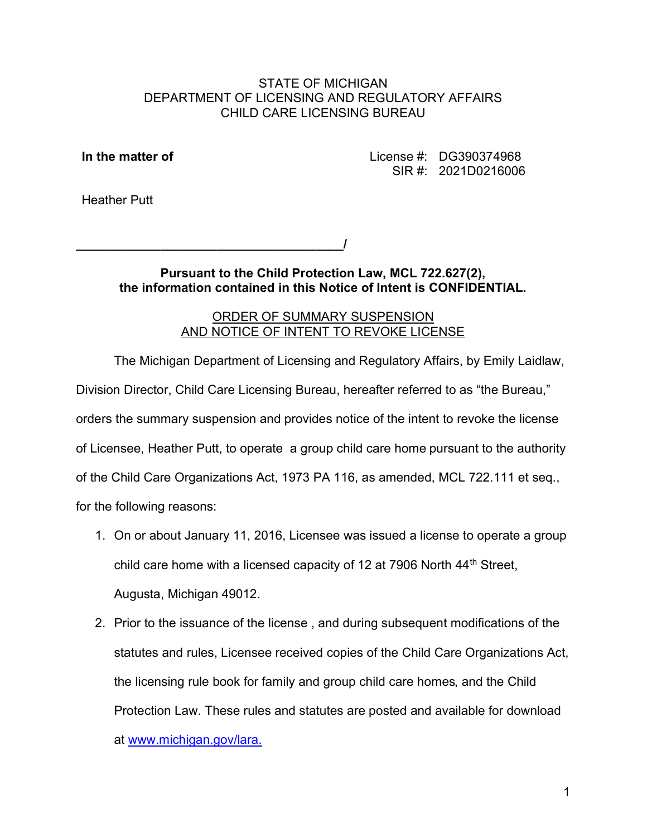### STATE OF MICHIGAN DEPARTMENT OF LICENSING AND REGULATORY AFFAIRS CHILD CARE LICENSING BUREAU

In the matter of License #: DG390374968 SIR #: 2021D0216006

Heather Putt

 $\overline{I}$ \_\_/

> Pursuant to the Child Protection Law, MCL 722.627(2), the information contained in this Notice of Intent is CONFIDENTIAL.

## ORDER OF SUMMARY SUSPENSION AND NOTICE OF INTENT TO REVOKE LICENSE

The Michigan Department of Licensing and Regulatory Affairs, by Emily Laidlaw, Division Director, Child Care Licensing Bureau, hereafter referred to as "the Bureau," orders the summary suspension and provides notice of the intent to revoke the license of Licensee, Heather Putt, to operate a group child care home pursuant to the authority of the Child Care Organizations Act, 1973 PA 116, as amended, MCL 722.111 et seq., for the following reasons:

- 1. On or about January 11, 2016, Licensee was issued a license to operate a group child care home with a licensed capacity of 12 at 7906 North  $44<sup>th</sup>$  Street, Augusta, Michigan 49012.
- at www.michigan.gov/lara.2. Prior to the issuance of the license , and during subsequent modifications of the statutes and rules, Licensee received copies of the Child Care Organizations Act, the licensing rule book for family and group child care homes, and the Child Protection Law. These rules and statutes are posted and available for download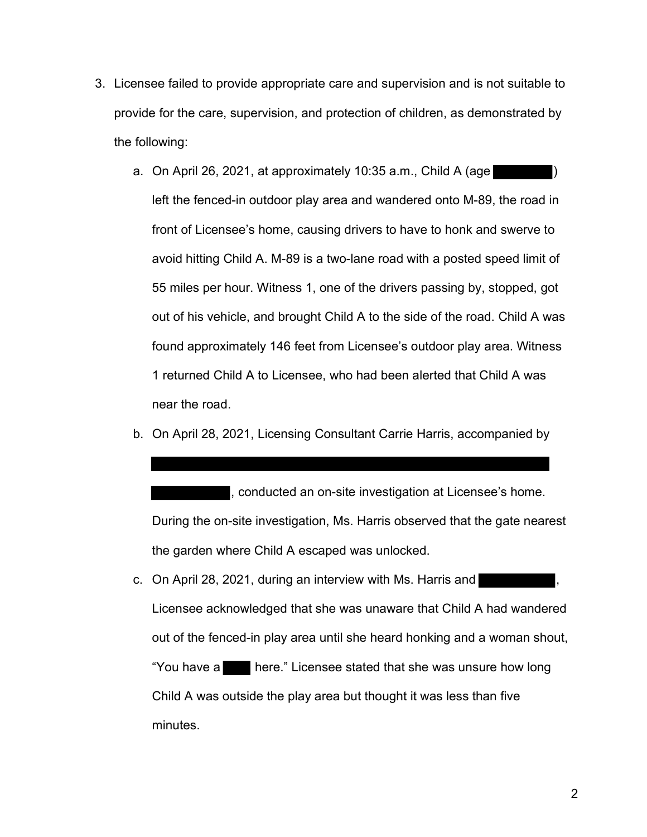- 3. Licensee failed to provide appropriate care and supervision and is not suitable to provide for the care, supervision, and protection of children, as demonstrated by the following:
	- a. On April 26, 2021, at approximately 10:35 a.m., Child A (age left the fenced-in outdoor play area and wandered onto M-89, the road in front of Licensee's home, causing drivers to have to honk and swerve to avoid hitting Child A. M-89 is a two-lane road with a posted speed limit of 55 miles per hour. Witness 1, one of the drivers passing by, stopped, got out of his vehicle, and brought Child A to the side of the road. Child A was found approximately 146 feet from Licensee's outdoor play area. Witness 1 returned Child A to Licensee, who had been alerted that Child A was near the road.
	- b. On April 28, 2021, Licensing Consultant Carrie Harris, accompanied by

, conducted an on-site investigation at Licensee's home. During the on-site investigation, Ms. Harris observed that the gate nearest the garden where Child A escaped was unlocked.

 minutes.c. On April 28, 2021, during an interview with Ms. Harris and Licensee acknowledged that she was unaware that Child A had wandered out of the fenced-in play area until she heard honking and a woman shout, "You have a here." Licensee stated that she was unsure how long Child A was outside the play area but thought it was less than five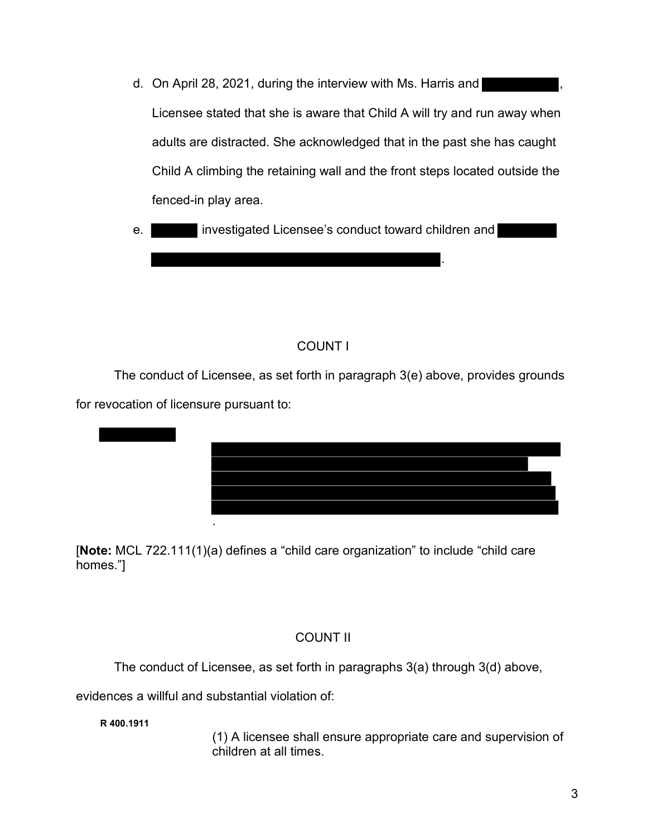d. On April 28, 2021, during the interview with Ms. Harris and Licensee stated that she is aware that Child A will try and run away when adults are distracted. She acknowledged that in the past she has caught Child A climbing the retaining wall and the front steps located outside the fenced-in play area. ,

.

e. **investigated Licensee's conduct toward children and** 

## COUNT I

The conduct of Licensee, as set forth in paragraph 3(e) above, provides grounds for revocation of licensure pursuant to:



[Note: MCL 722.111(1)(a) defines a "child care organization" to include "child care homes."]

## COUNT II

The conduct of Licensee, as set forth in paragraphs 3(a) through 3(d) above,

evidences a willful and substantial violation of:

R 400.1911

(1) A licensee shall ensure appropriate care and supervision of children at all times.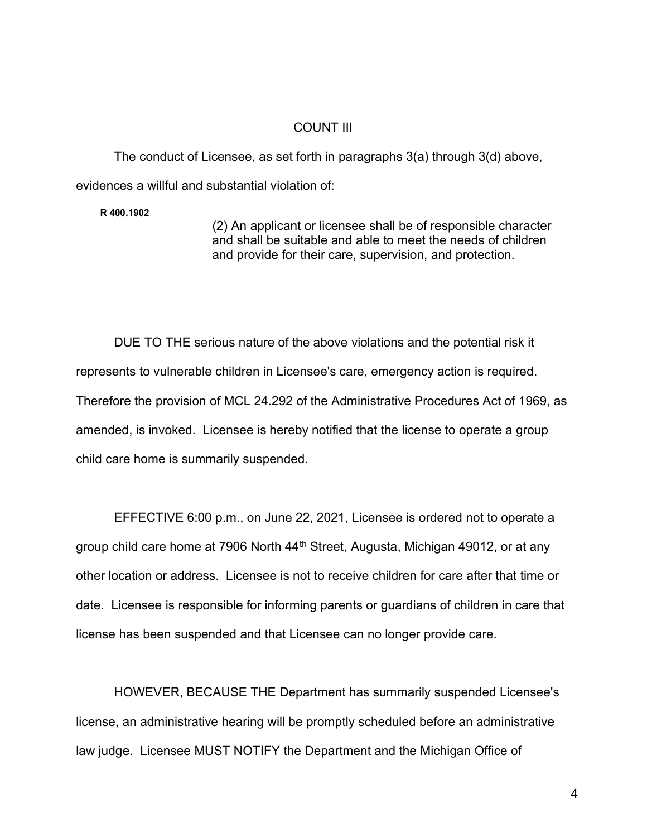#### COUNT III

The conduct of Licensee, as set forth in paragraphs 3(a) through 3(d) above, evidences a willful and substantial violation of:

R 400.1902

(2) An applicant or licensee shall be of responsible character and shall be suitable and able to meet the needs of children and provide for their care, supervision, and protection.

DUE TO THE serious nature of the above violations and the potential risk it represents to vulnerable children in Licensee's care, emergency action is required. Therefore the provision of MCL 24.292 of the Administrative Procedures Act of 1969, as amended, is invoked. Licensee is hereby notified that the license to operate a group child care home is summarily suspended.

EFFECTIVE 6:00 p.m., on June 22, 2021, Licensee is ordered not to operate a group child care home at 7906 North 44<sup>th</sup> Street, Augusta, Michigan 49012, or at any other location or address. Licensee is not to receive children for care after that time or date. Licensee is responsible for informing parents or guardians of children in care that license has been suspended and that Licensee can no longer provide care.

 law judge. Licensee MUST NOTIFY the Department and the Michigan Office ofHOWEVER, BECAUSE THE Department has summarily suspended Licensee's license, an administrative hearing will be promptly scheduled before an administrative

4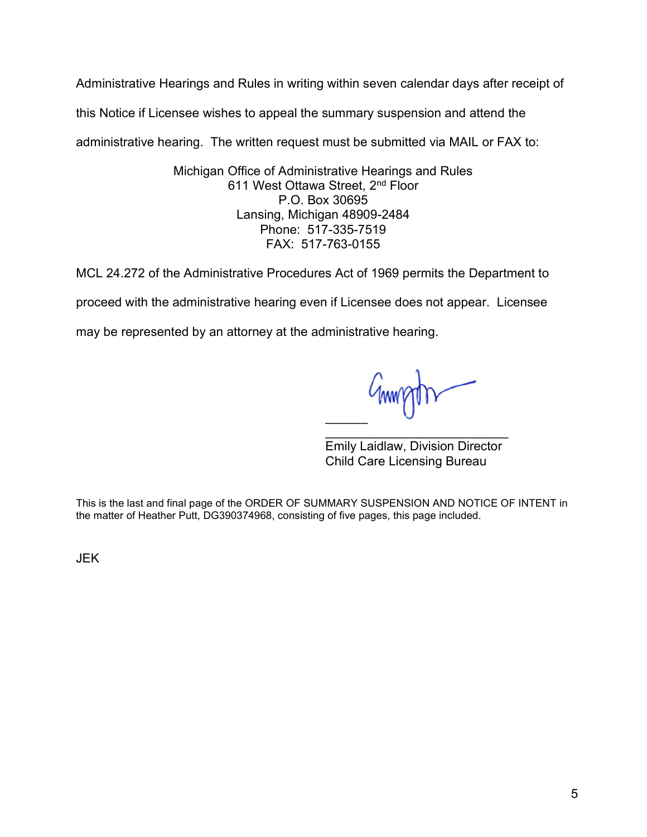Administrative Hearings and Rules in writing within seven calendar days after receipt of

this Notice if Licensee wishes to appeal the summary suspension and attend the

administrative hearing. The written request must be submitted via MAIL or FAX to:

Michigan Office of Administrative Hearings and Rules 611 West Ottawa Street, 2<sup>nd</sup> Floor P.O. Box 30695 Lansing, Michigan 48909-2484 Phone: 517-335-7519 FAX: 517-763-0155

MCL 24.272 of the Administrative Procedures Act of 1969 permits the Department to

proceed with the administrative hearing even if Licensee does not appear. Licensee

may be represented by an attorney at the administrative hearing.

 $\overline{\phantom{a}}$ 

Emily Laidlaw, Division Director Child Care Licensing Bureau  $\mathcal{L}_\text{max}$  , where  $\mathcal{L}_\text{max}$  , we are the set of the set of the set of the set of the set of the set of the set of the set of the set of the set of the set of the set of the set of the set of the set of the set of

This is the last and final page of the ORDER OF SUMMARY SUSPENSION AND NOTICE OF INTENT in the matter of Heather Putt, DG390374968, consisting of five pages, this page included.

JEK